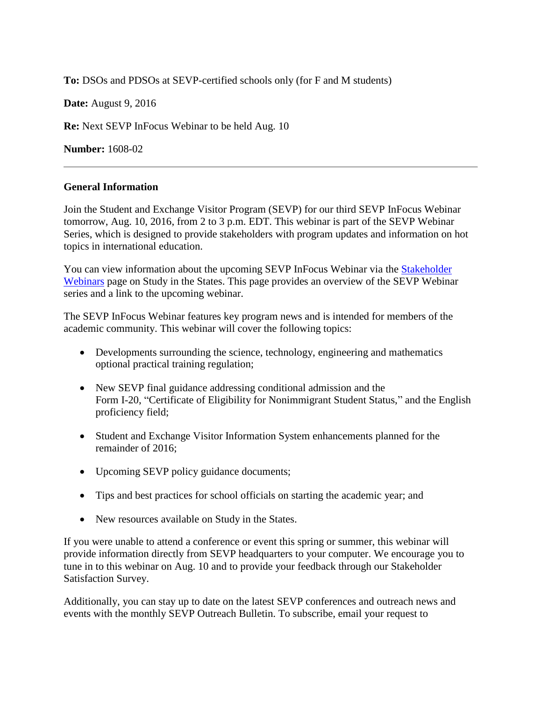**To:** DSOs and PDSOs at SEVP-certified schools only (for F and M students)

**Date:** August 9, 2016

**Re:** Next SEVP InFocus Webinar to be held Aug. 10

**Number:** 1608-02

## **General Information**

Join the Student and Exchange Visitor Program (SEVP) for our third SEVP InFocus Webinar tomorrow, Aug. 10, 2016, from 2 to 3 p.m. EDT. This webinar is part of the SEVP Webinar Series, which is designed to provide stakeholders with program updates and information on hot topics in international education.

You can view information about the upcoming SEVP InFocus Webinar via the [Stakeholder](https://studyinthestates.dhs.gov/stakeholder-webinars)  [Webinars](https://studyinthestates.dhs.gov/stakeholder-webinars) page on Study in the States. This page provides an overview of the SEVP Webinar series and a link to the upcoming webinar.

The SEVP InFocus Webinar features key program news and is intended for members of the academic community. This webinar will cover the following topics:

- Developments surrounding the science, technology, engineering and mathematics optional practical training regulation;
- New SEVP final guidance addressing conditional admission and the Form I-20, "Certificate of Eligibility for Nonimmigrant Student Status," and the English proficiency field;
- Student and Exchange Visitor Information System enhancements planned for the remainder of 2016;
- Upcoming SEVP policy guidance documents;
- Tips and best practices for school officials on starting the academic year; and
- New resources available on Study in the States.

If you were unable to attend a conference or event this spring or summer, this webinar will provide information directly from SEVP headquarters to your computer. We encourage you to tune in to this webinar on Aug. 10 and to provide your feedback through our Stakeholder Satisfaction Survey.

Additionally, you can stay up to date on the latest SEVP conferences and outreach news and events with the monthly SEVP Outreach Bulletin. To subscribe, email your request to